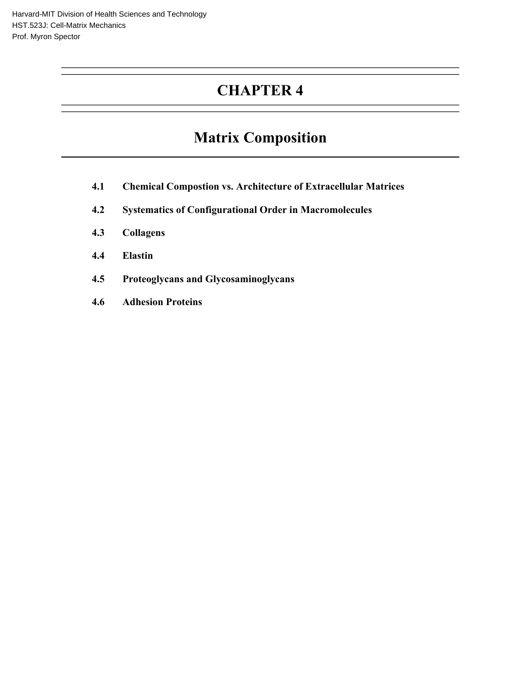## **CHAPTER 4**

# **Matrix Composition**

- **4.1 Chemical Compostion vs. Architecture of Extracellular Matrices**
- **4.2 Systematics of Configurational Order in Macromolecules**
- **4.3 Collagens**
- **4.4 Elastin**
- **4.5 Proteoglycans and Glycosaminoglycans**
- **4.6 Adhesion Proteins**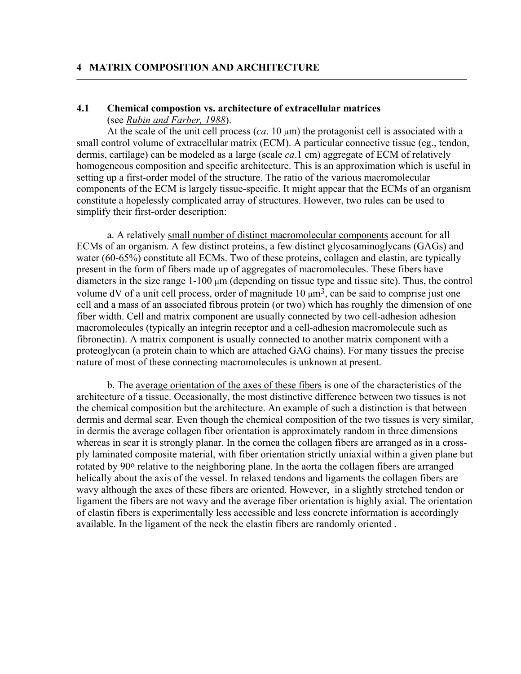#### **4.1 Chemical compostion vs. architecture of extracellular matrices**  (see *Rubin and Farber, 1988*).

At the scale of the unit cell process  $(ca. 10 \mu m)$  the protagonist cell is associated with a small control volume of extracellular matrix (ECM). A particular connective tissue (eg., tendon, dermis, cartilage) can be modeled as a large (scale *ca*.1 cm) aggregate of ECM of relatively homogeneous composition and specific architecture. This is an approximation which is useful in setting up a first-order model of the structure. The ratio of the various macromolecular components of the ECM is largely tissue-specific. It might appear that the ECMs of an organism constitute a hopelessly complicated array of structures. However, two rules can be used to simplify their first-order description:

a. A relatively small number of distinct macromolecular components account for all ECMs of an organism. A few distinct proteins, a few distinct glycosaminoglycans (GAGs) and water (60-65%) constitute all ECMs. Two of these proteins, collagen and elastin, are typically present in the form of fibers made up of aggregates of macromolecules. These fibers have diameters in the size range 1-100 µm (depending on tissue type and tissue site). Thus, the control volume dV of a unit cell process, order of magnitude  $10 \mu m^3$ , can be said to comprise just one cell and a mass of an associated fibrous protein (or two) which has roughly the dimension of one fiber width. Cell and matrix component are usually connected by two cell-adhesion adhesion macromolecules (typically an integrin receptor and a cell-adhesion macromolecule such as fibronectin). A matrix component is usually connected to another matrix component with a proteoglycan (a protein chain to which are attached GAG chains). For many tissues the precise nature of most of these connecting macromolecules is unknown at present.

b. The average orientation of the axes of these fibers is one of the characteristics of the architecture of a tissue. Occasionally, the most distinctive difference between two tissues is not the chemical composition but the architecture. An example of such a distinction is that between dermis and dermal scar. Even though the chemical composition of the two tissues is very similar, in dermis the average collagen fiber orientation is approximately random in three dimensions whereas in scar it is strongly planar. In the cornea the collagen fibers are arranged as in a crossply laminated composite material, with fiber orientation strictly uniaxial within a given plane but rotated by 90<sup>o</sup> relative to the neighboring plane. In the aorta the collagen fibers are arranged helically about the axis of the vessel. In relaxed tendons and ligaments the collagen fibers are wavy although the axes of these fibers are oriented. However, in a slightly stretched tendon or ligament the fibers are not wavy and the average fiber orientation is highly axial. The orientation of elastin fibers is experimentally less accessible and less concrete information is accordingly available. In the ligament of the neck the elastin fibers are randomly oriented .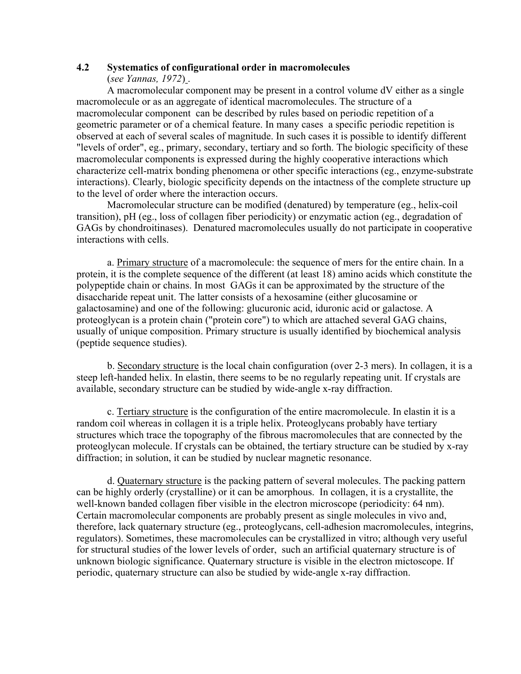#### **4.2 Systematics of configurational order in macromolecules**  (*see Yannas, 1972*) .

A macromolecular component may be present in a control volume dV either as a single macromolecule or as an aggregate of identical macromolecules. The structure of a macromolecular component can be described by rules based on periodic repetition of a geometric parameter or of a chemical feature. In many cases a specific periodic repetition is observed at each of several scales of magnitude. In such cases it is possible to identify different "levels of order", eg., primary, secondary, tertiary and so forth. The biologic specificity of these macromolecular components is expressed during the highly cooperative interactions which characterize cell-matrix bonding phenomena or other specific interactions (eg., enzyme-substrate interactions). Clearly, biologic specificity depends on the intactness of the complete structure up to the level of order where the interaction occurs.

Macromolecular structure can be modified (denatured) by temperature (eg., helix-coil transition), pH (eg., loss of collagen fiber periodicity) or enzymatic action (eg., degradation of GAGs by chondroitinases). Denatured macromolecules usually do not participate in cooperative interactions with cells.

a. Primary structure of a macromolecule: the sequence of mers for the entire chain. In a protein, it is the complete sequence of the different (at least 18) amino acids which constitute the polypeptide chain or chains. In most GAGs it can be approximated by the structure of the disaccharide repeat unit. The latter consists of a hexosamine (either glucosamine or galactosamine) and one of the following: glucuronic acid, iduronic acid or galactose. A proteoglycan is a protein chain ("protein core") to which are attached several GAG chains, usually of unique composition. Primary structure is usually identified by biochemical analysis (peptide sequence studies).

b. Secondary structure is the local chain configuration (over 2-3 mers). In collagen, it is a steep left-handed helix. In elastin, there seems to be no regularly repeating unit. If crystals are available, secondary structure can be studied by wide-angle x-ray diffraction.

c. Tertiary structure is the configuration of the entire macromolecule. In elastin it is a random coil whereas in collagen it is a triple helix. Proteoglycans probably have tertiary structures which trace the topography of the fibrous macromolecules that are connected by the proteoglycan molecule. If crystals can be obtained, the tertiary structure can be studied by x-ray diffraction; in solution, it can be studied by nuclear magnetic resonance.

d. Quaternary structure is the packing pattern of several molecules. The packing pattern can be highly orderly (crystalline) or it can be amorphous. In collagen, it is a crystallite, the well-known banded collagen fiber visible in the electron microscope (periodicity: 64 nm). Certain macromolecular components are probably present as single molecules in vivo and, therefore, lack quaternary structure (eg., proteoglycans, cell-adhesion macromolecules, integrins, regulators). Sometimes, these macromolecules can be crystallized in vitro; although very useful for structural studies of the lower levels of order, such an artificial quaternary structure is of unknown biologic significance. Quaternary structure is visible in the electron mictoscope. If periodic, quaternary structure can also be studied by wide-angle x-ray diffraction.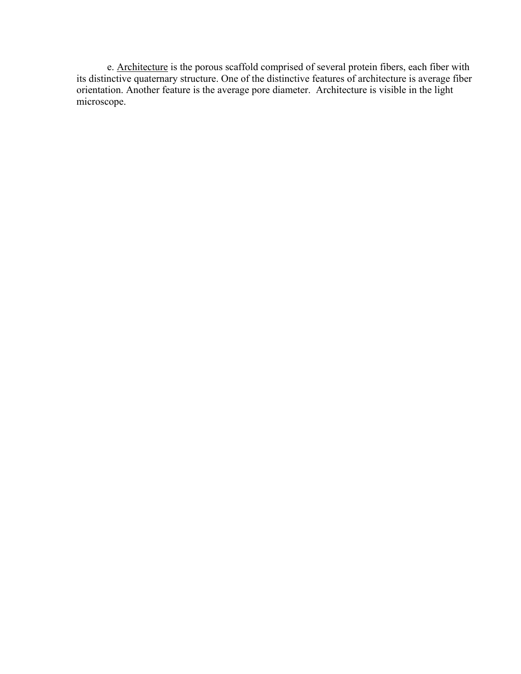e. Architecture is the porous scaffold comprised of several protein fibers, each fiber with its distinctive quaternary structure. One of the distinctive features of architecture is average fiber orientation. Another feature is the average pore diameter. Architecture is visible in the light microscope.